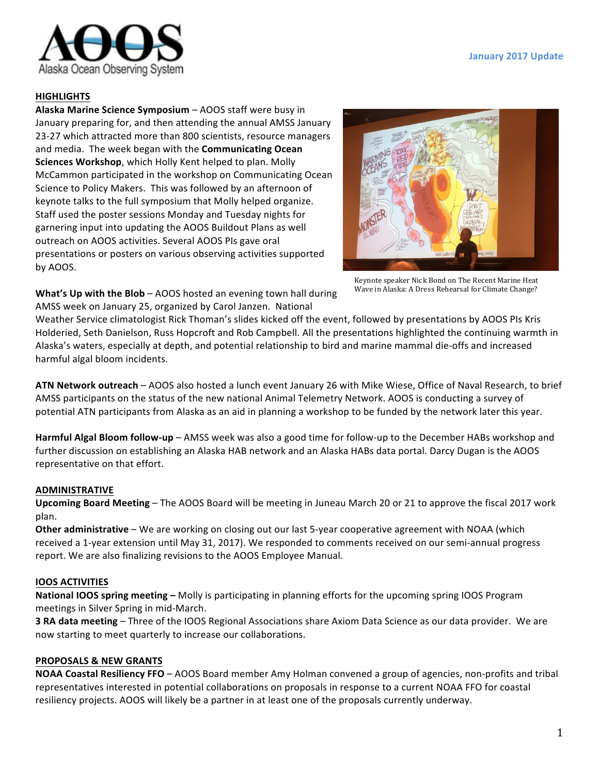

# **HIGHLIGHTS**

**Alaska Marine Science Symposium** – AOOS staff were busy in January preparing for, and then attending the annual AMSS January 23-27 which attracted more than 800 scientists, resource managers and media. The week began with the **Communicating Ocean Sciences Workshop**, which Holly Kent helped to plan. Molly McCammon participated in the workshop on Communicating Ocean Science to Policy Makers. This was followed by an afternoon of keynote talks to the full symposium that Molly helped organize. Staff used the poster sessions Monday and Tuesday nights for garnering input into updating the AOOS Buildout Plans as well outreach on AOOS activities. Several AOOS PIs gave oral presentations or posters on various observing activities supported by AOOS.



Keynote speaker Nick Bond on The Recent Marine Heat Wave in Alaska: A Dress Rehearsal for Climate Change?

**What's Up with the Blob** – AOOS hosted an evening town hall during AMSS week on January 25, organized by Carol Janzen. National

Weather Service climatologist Rick Thoman's slides kicked off the event, followed by presentations by AOOS PIs Kris Holderied, Seth Danielson, Russ Hopcroft and Rob Campbell. All the presentations highlighted the continuing warmth in Alaska's waters, especially at depth, and potential relationship to bird and marine mammal die-offs and increased harmful algal bloom incidents.

ATN Network outreach – AOOS also hosted a lunch event January 26 with Mike Wiese, Office of Naval Research, to brief AMSS participants on the status of the new national Animal Telemetry Network. AOOS is conducting a survey of potential ATN participants from Alaska as an aid in planning a workshop to be funded by the network later this year.

**Harmful Algal Bloom follow-up** – AMSS week was also a good time for follow-up to the December HABs workshop and further discussion on establishing an Alaska HAB network and an Alaska HABs data portal. Darcy Dugan is the AOOS representative on that effort.

## **ADMINISTRATIVE**

**Upcoming Board Meeting** – The AOOS Board will be meeting in Juneau March 20 or 21 to approve the fiscal 2017 work plan.

**Other administrative** – We are working on closing out our last 5-year cooperative agreement with NOAA (which received a 1-year extension until May 31, 2017). We responded to comments received on our semi-annual progress report. We are also finalizing revisions to the AOOS Employee Manual.

## **IOOS ACTIVITIES**

**National IOOS spring meeting –** Molly is participating in planning efforts for the upcoming spring IOOS Program meetings in Silver Spring in mid-March.

**3 RA data meeting** – Three of the IOOS Regional Associations share Axiom Data Science as our data provider. We are now starting to meet quarterly to increase our collaborations.

## **PROPOSALS & NEW GRANTS**

**NOAA Coastal Resiliency FFO** – AOOS Board member Amy Holman convened a group of agencies, non-profits and tribal representatives interested in potential collaborations on proposals in response to a current NOAA FFO for coastal resiliency projects. AOOS will likely be a partner in at least one of the proposals currently underway.